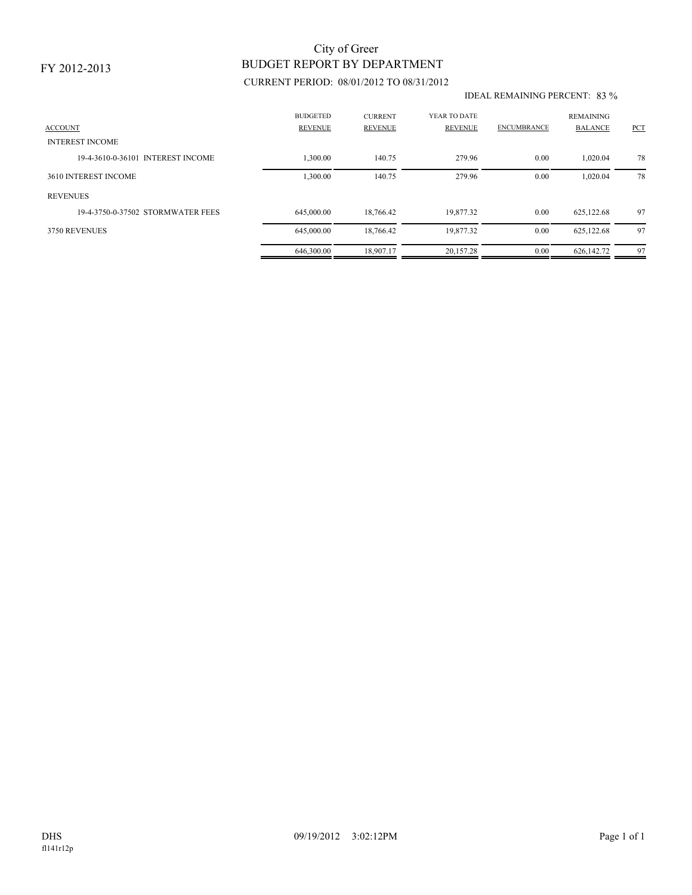# BUDGET REPORT BY DEPARTMENT City of Greer

### CURRENT PERIOD: 08/01/2012 TO 08/31/2012

#### IDEAL REMAINING PERCENT: 83 %

| <b>ACCOUNT</b><br><b>INTEREST INCOME</b> | <b>BUDGETED</b><br><b>REVENUE</b> | <b>CURRENT</b><br><b>REVENUE</b> | YEAR TO DATE<br>REVENUE | <b>ENCUMBRANCE</b> | <b>REMAINING</b><br><b>BALANCE</b> | PCT |
|------------------------------------------|-----------------------------------|----------------------------------|-------------------------|--------------------|------------------------------------|-----|
| 19-4-3610-0-36101 INTEREST INCOME        | 1,300.00                          | 140.75                           | 279.96                  | 0.00               | 1.020.04                           | 78  |
| 3610 INTEREST INCOME                     | 1,300.00                          | 140.75                           | 279.96                  | 0.00               | 1,020.04                           | 78  |
| <b>REVENUES</b>                          |                                   |                                  |                         |                    |                                    |     |
| 19-4-3750-0-37502 STORMWATER FEES        | 645,000.00                        | 18.766.42                        | 19.877.32               | 0.00               | 625,122.68                         | 97  |
| 3750 REVENUES                            | 645,000.00                        | 18.766.42                        | 19,877.32               | 0.00               | 625,122.68                         | 97  |
|                                          | 646,300.00                        | 18.907.17                        | 20.157.28               | 0.00               | 626,142.72                         | 97  |